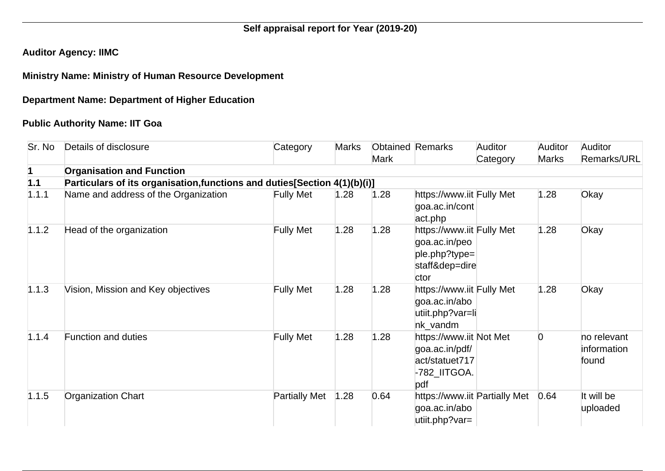# **Self appraisal report for Year (2019-20)**

## **Auditor Agency: IIMC**

#### **Ministry Name: Ministry of Human Resource Development**

## **Department Name: Department of Higher Education**

## **Public Authority Name: IIT Goa**

| Sr. No | Details of disclosure                                                      | Category             | <b>Marks</b> | <b>Mark</b> | <b>Obtained Remarks</b>                                                               | <b>Auditor</b><br>Category | Auditor<br><b>Marks</b> | <b>Auditor</b><br><b>Remarks/URL</b> |
|--------|----------------------------------------------------------------------------|----------------------|--------------|-------------|---------------------------------------------------------------------------------------|----------------------------|-------------------------|--------------------------------------|
|        | <b>Organisation and Function</b>                                           |                      |              |             |                                                                                       |                            |                         |                                      |
| 1.1    | Particulars of its organisation, functions and duties [Section 4(1)(b)(i)] |                      |              |             |                                                                                       |                            |                         |                                      |
| 1.1.1  | Name and address of the Organization                                       | <b>Fully Met</b>     | 1.28         | 1.28        | https://www.iit Fully Met<br>goa.ac.in/cont<br>act.php                                |                            | 1.28                    | Okay                                 |
| 1.1.2  | Head of the organization                                                   | <b>Fully Met</b>     | 1.28         | 1.28        | https://www.iit Fully Met<br>goa.ac.in/peo<br>ple.php?type=<br>staff&dep=dire<br>ctor |                            | 1.28                    | Okay                                 |
| 1.1.3  | Vision, Mission and Key objectives                                         | <b>Fully Met</b>     | 1.28         | 1.28        | https://www.iit Fully Met<br>goa.ac.in/abo<br>utiit.php?var=li<br>nk vandm            |                            | 1.28                    | Okay                                 |
| 1.1.4  | <b>Function and duties</b>                                                 | <b>Fully Met</b>     | 1.28         | 1.28        | https://www.iit Not Met<br>goa.ac.in/pdf/<br>act/statuet717<br>-782_IITGOA.<br>pdf    |                            | $\overline{0}$          | no relevant<br>information<br>found  |
| 1.1.5  | <b>Organization Chart</b>                                                  | <b>Partially Met</b> | 1.28         | 0.64        | https://www.iit Partially Met<br>goa.ac.in/abo<br>utiit.php?var=                      |                            | 0.64                    | It will be<br>uploaded               |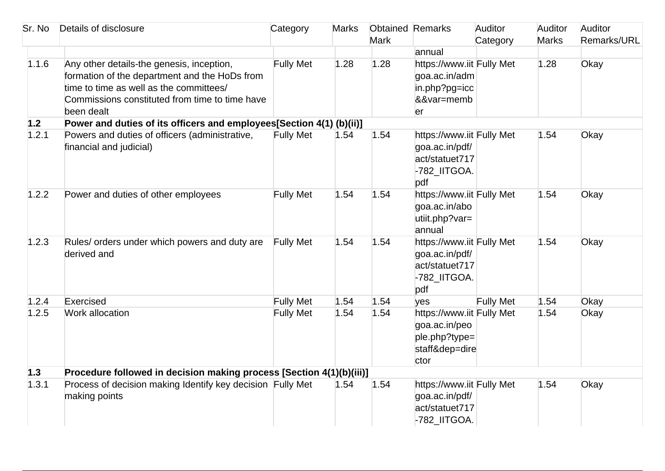| Sr. No | Details of disclosure                                                                                                                                                                                 | Category         | <b>Marks</b> | <b>Obtained Remarks</b> |                                                                                       | Auditor          | Auditor      | Auditor     |
|--------|-------------------------------------------------------------------------------------------------------------------------------------------------------------------------------------------------------|------------------|--------------|-------------------------|---------------------------------------------------------------------------------------|------------------|--------------|-------------|
|        |                                                                                                                                                                                                       |                  |              | <b>Mark</b>             |                                                                                       | Category         | <b>Marks</b> | Remarks/URL |
|        |                                                                                                                                                                                                       |                  |              |                         | annual                                                                                |                  |              |             |
| 1.1.6  | Any other details-the genesis, inception,<br>formation of the department and the HoDs from<br>time to time as well as the committees/<br>Commissions constituted from time to time have<br>been dealt | <b>Fully Met</b> | 1.28         | 1.28                    | https://www.iit Fully Met<br>goa.ac.in/adm<br>in.php?pg=icc<br>&&var=memb<br>er       |                  | 1.28         | Okay        |
| 1.2    | Power and duties of its officers and employees[Section 4(1) (b)(ii)]                                                                                                                                  |                  |              |                         |                                                                                       |                  |              |             |
| 1.2.1  | Powers and duties of officers (administrative,<br>financial and judicial)                                                                                                                             | <b>Fully Met</b> | 1.54         | 1.54                    | https://www.iit Fully Met<br>goa.ac.in/pdf/<br>act/statuet717<br>-782_IITGOA.<br>pdf  |                  | 1.54         | Okay        |
| 1.2.2  | Power and duties of other employees                                                                                                                                                                   | <b>Fully Met</b> | 1.54         | 1.54                    | https://www.iit Fully Met<br>goa.ac.in/abo<br>utiit.php?var=<br>annual                |                  | 1.54         | Okay        |
| 1.2.3  | Rules/ orders under which powers and duty are<br>derived and                                                                                                                                          | <b>Fully Met</b> | 1.54         | 1.54                    | https://www.iit Fully Met<br>goa.ac.in/pdf/<br>act/statuet717<br>-782_IITGOA.<br>pdf  |                  | 1.54         | Okay        |
| 1.2.4  | Exercised                                                                                                                                                                                             | <b>Fully Met</b> | 1.54         | 1.54                    | yes                                                                                   | <b>Fully Met</b> | 1.54         | Okay        |
| 1.2.5  | Work allocation                                                                                                                                                                                       | <b>Fully Met</b> | 1.54         | 1.54                    | https://www.iit Fully Met<br>goa.ac.in/peo<br>ple.php?type=<br>staff&dep=dire<br>ctor |                  | 1.54         | Okay        |
| 1.3    | Procedure followed in decision making process [Section 4(1)(b)(iii)]                                                                                                                                  |                  |              |                         |                                                                                       |                  |              |             |
| 1.3.1  | Process of decision making Identify key decision Fully Met<br>making points                                                                                                                           |                  | 1.54         | 1.54                    | https://www.iit Fully Met<br>goa.ac.in/pdf/<br>act/statuet717<br>-782_IITGOA.         |                  | 1.54         | Okay        |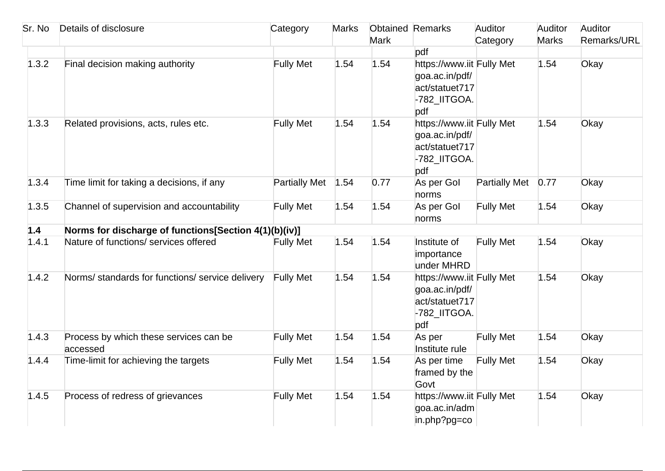| Sr. No | Details of disclosure                                 | Category             | <b>Marks</b> | <b>Obtained Remarks</b> |                                                                                      | Auditor              | Auditor      | Auditor     |
|--------|-------------------------------------------------------|----------------------|--------------|-------------------------|--------------------------------------------------------------------------------------|----------------------|--------------|-------------|
|        |                                                       |                      |              | <b>Mark</b>             |                                                                                      | Category             | <b>Marks</b> | Remarks/URL |
|        |                                                       |                      |              |                         | pdf                                                                                  |                      |              |             |
| 1.3.2  | Final decision making authority                       | <b>Fully Met</b>     | 1.54         | 1.54                    | https://www.iit Fully Met<br>goa.ac.in/pdf/<br>act/statuet717<br>-782_IITGOA.<br>pdf |                      | 1.54         | Okay        |
| 1.3.3  | Related provisions, acts, rules etc.                  | <b>Fully Met</b>     | 1.54         | 1.54                    | https://www.iit Fully Met<br>goa.ac.in/pdf/<br>act/statuet717<br>-782_IITGOA.<br>pdf |                      | 1.54         | Okay        |
| 1.3.4  | Time limit for taking a decisions, if any             | <b>Partially Met</b> | 1.54         | 0.77                    | As per Gol<br>norms                                                                  | <b>Partially Met</b> | 0.77         | Okay        |
| 1.3.5  | Channel of supervision and accountability             | <b>Fully Met</b>     | 1.54         | 1.54                    | As per Gol<br>horms                                                                  | <b>Fully Met</b>     | 1.54         | Okay        |
| 1.4    | Norms for discharge of functions[Section 4(1)(b)(iv)] |                      |              |                         |                                                                                      |                      |              |             |
| 1.4.1  | Nature of functions/ services offered                 | <b>Fully Met</b>     | 1.54         | 1.54                    | Institute of<br>importance<br>under MHRD                                             | <b>Fully Met</b>     | 1.54         | Okay        |
| 1.4.2  | Norms/ standards for functions/ service delivery      | <b>Fully Met</b>     | 1.54         | 1.54                    | https://www.iit Fully Met<br>goa.ac.in/pdf/<br>act/statuet717<br>-782_IITGOA.<br>pdf |                      | 1.54         | Okay        |
| 1.4.3  | Process by which these services can be<br>accessed    | <b>Fully Met</b>     | 1.54         | 1.54                    | As per<br>Institute rule                                                             | <b>Fully Met</b>     | 1.54         | Okay        |
| 1.4.4  | Time-limit for achieving the targets                  | <b>Fully Met</b>     | 1.54         | 1.54                    | As per time<br>framed by the<br>Govt                                                 | <b>Fully Met</b>     | 1.54         | Okay        |
| 1.4.5  | Process of redress of grievances                      | <b>Fully Met</b>     | 1.54         | 1.54                    | https://www.iit Fully Met<br>goa.ac.in/adm<br>in.php?pg=co                           |                      | 1.54         | Okay        |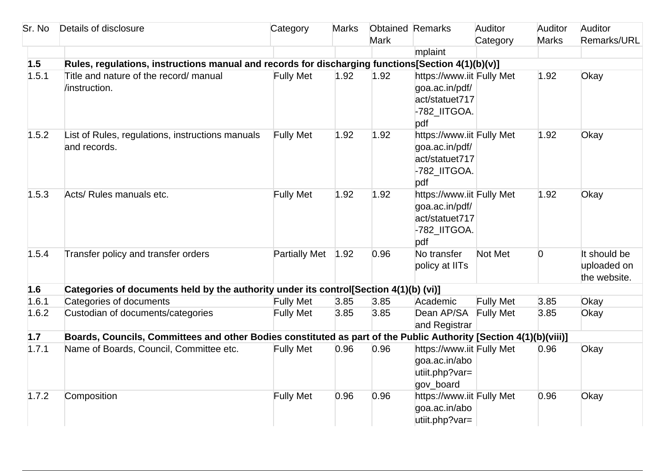| Sr. No | Details of disclosure                                                                                             | Category             | <b>Marks</b> | <b>Obtained Remarks</b> |                                                                                      | Auditor          | Auditor        | Auditor                                     |
|--------|-------------------------------------------------------------------------------------------------------------------|----------------------|--------------|-------------------------|--------------------------------------------------------------------------------------|------------------|----------------|---------------------------------------------|
|        |                                                                                                                   |                      |              | <b>Mark</b>             |                                                                                      | Category         | <b>Marks</b>   | Remarks/URL                                 |
|        |                                                                                                                   |                      |              |                         | mplaint                                                                              |                  |                |                                             |
| 1.5    | Rules, regulations, instructions manual and records for discharging functions[Section 4(1)(b)(v)]                 |                      |              |                         |                                                                                      |                  |                |                                             |
| 1.5.1  | Title and nature of the record/ manual<br>/instruction.                                                           | <b>Fully Met</b>     | 1.92         | 1.92                    | https://www.iit Fully Met<br>goa.ac.in/pdf/<br>act/statuet717<br>-782_IITGOA.<br>pdf |                  | 1.92           | Okay                                        |
| 1.5.2  | List of Rules, regulations, instructions manuals<br>and records.                                                  | <b>Fully Met</b>     | 1.92         | 1.92                    | https://www.iit Fully Met<br>goa.ac.in/pdf/<br>act/statuet717<br>-782_IITGOA.<br>pdf |                  | 1.92           | Okay                                        |
| 1.5.3  | Acts/ Rules manuals etc.                                                                                          | <b>Fully Met</b>     | 1.92         | 1.92                    | https://www.iit Fully Met<br>goa.ac.in/pdf/<br>act/statuet717<br>-782_IITGOA.<br>pdf |                  | 1.92           | Okay                                        |
| 1.5.4  | Transfer policy and transfer orders                                                                               | <b>Partially Met</b> | 1.92         | 0.96                    | No transfer<br>policy at IITs                                                        | Not Met          | $\overline{0}$ | It should be<br>uploaded on<br>the website. |
| 1.6    | Categories of documents held by the authority under its control[Section 4(1)(b) (vi)]                             |                      |              |                         |                                                                                      |                  |                |                                             |
| 1.6.1  | Categories of documents                                                                                           | <b>Fully Met</b>     | 3.85         | 3.85                    | Academic                                                                             | <b>Fully Met</b> | 3.85           | Okay                                        |
| 1.6.2  | Custodian of documents/categories                                                                                 | <b>Fully Met</b>     | 3.85         | 3.85                    | Dean AP/SA<br>and Registrar                                                          | <b>Fully Met</b> | 3.85           | Okay                                        |
| 1.7    | Boards, Councils, Committees and other Bodies constituted as part of the Public Authority [Section 4(1)(b)(viii)] |                      |              |                         |                                                                                      |                  |                |                                             |
| 1.7.1  | Name of Boards, Council, Committee etc.                                                                           | <b>Fully Met</b>     | 0.96         | 0.96                    | https://www.iit Fully Met<br>goa.ac.in/abo<br>utiit.php?var=<br>gov_board            |                  | 0.96           | Okay                                        |
| 1.7.2  | Composition                                                                                                       | <b>Fully Met</b>     | 0.96         | 0.96                    | https://www.iit Fully Met<br>goa.ac.in/abo<br>utiit.php?var=                         |                  | 0.96           | Okay                                        |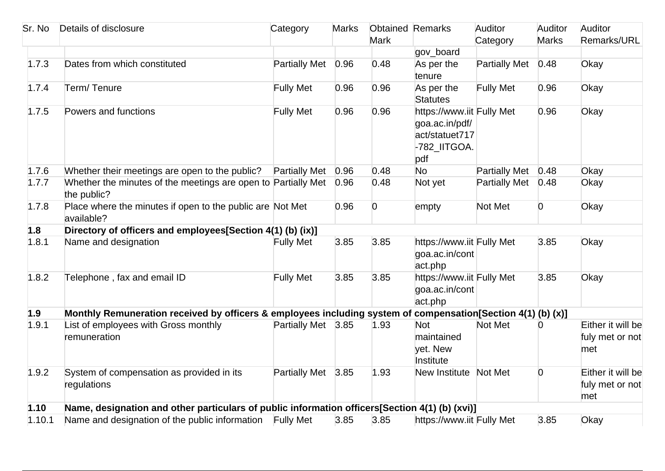| Sr. No | Details of disclosure                                                                                        | Category             | <b>Marks</b> | <b>Obtained Remarks</b> |                                                                                      | Auditor              | Auditor        | Auditor                                     |
|--------|--------------------------------------------------------------------------------------------------------------|----------------------|--------------|-------------------------|--------------------------------------------------------------------------------------|----------------------|----------------|---------------------------------------------|
|        |                                                                                                              |                      |              | <b>Mark</b>             |                                                                                      | Category             | <b>Marks</b>   | <b>Remarks/URL</b>                          |
|        |                                                                                                              |                      |              |                         | gov_board                                                                            |                      |                |                                             |
| 1.7.3  | Dates from which constituted                                                                                 | <b>Partially Met</b> | 0.96         | 0.48                    | As per the<br>tenure                                                                 | <b>Partially Met</b> | 0.48           | Okay                                        |
| 1.7.4  | Term/Tenure                                                                                                  | <b>Fully Met</b>     | 0.96         | 0.96                    | As per the<br><b>Statutes</b>                                                        | <b>Fully Met</b>     | 0.96           | Okay                                        |
| 1.7.5  | Powers and functions                                                                                         | <b>Fully Met</b>     | 0.96         | 0.96                    | https://www.iit Fully Met<br>goa.ac.in/pdf/<br>act/statuet717<br>-782_IITGOA.<br>pdf |                      | 0.96           | Okay                                        |
| 1.7.6  | Whether their meetings are open to the public?                                                               | <b>Partially Met</b> | 0.96         | 0.48                    | <b>No</b>                                                                            | <b>Partially Met</b> | 0.48           | Okay                                        |
| 1.7.7  | Whether the minutes of the meetings are open to Partially Met<br>the public?                                 |                      | 0.96         | 0.48                    | Not yet                                                                              | <b>Partially Met</b> | 0.48           | Okay                                        |
| 1.7.8  | Place where the minutes if open to the public are Not Met<br>available?                                      |                      | 0.96         | $\overline{0}$          | empty                                                                                | Not Met              | $\overline{0}$ | Okay                                        |
| 1.8    | Directory of officers and employees[Section 4(1) (b) (ix)]                                                   |                      |              |                         |                                                                                      |                      |                |                                             |
| 1.8.1  | Name and designation                                                                                         | <b>Fully Met</b>     | 3.85         | 3.85                    | https://www.iit Fully Met<br>goa.ac.in/cont<br>act.php                               |                      | 3.85           | Okay                                        |
| 1.8.2  | Telephone, fax and email ID                                                                                  | <b>Fully Met</b>     | 3.85         | 3.85                    | https://www.iit Fully Met<br>goa.ac.in/cont<br>act.php                               |                      | 3.85           | Okay                                        |
| 1.9    | Monthly Remuneration received by officers & employees including system of compensation[Section 4(1) (b) (x)] |                      |              |                         |                                                                                      |                      |                |                                             |
| 1.9.1  | List of employees with Gross monthly<br>remuneration                                                         | Partially Met 3.85   |              | 1.93                    | <b>Not</b><br>maintained<br>yet. New<br>Institute                                    | Not Met              | $\overline{0}$ | Either it will be<br>fuly met or not<br>met |
| 1.9.2  | System of compensation as provided in its<br>regulations                                                     | Partially Met 3.85   |              | 1.93                    | New Institute Not Met                                                                |                      | $\overline{0}$ | Either it will be<br>fuly met or not<br>met |
| 1.10   | Name, designation and other particulars of public information officers[Section 4(1) (b) (xvi)]               |                      |              |                         |                                                                                      |                      |                |                                             |
| 1.10.1 | Name and designation of the public information Fully Met                                                     |                      | 3.85         | 3.85                    | https://www.iit Fully Met                                                            |                      | 3.85           | Okay                                        |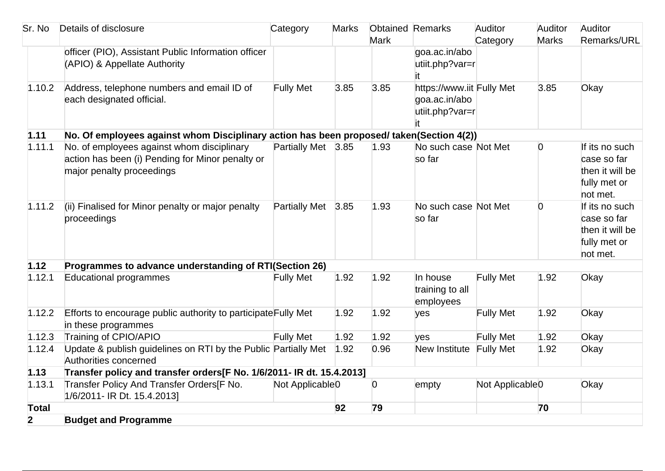| Sr. No         | Details of disclosure                                                                    | Category                    | <b>Marks</b> | <b>Obtained Remarks</b> |                           | Auditor                     | Auditor        | Auditor         |
|----------------|------------------------------------------------------------------------------------------|-----------------------------|--------------|-------------------------|---------------------------|-----------------------------|----------------|-----------------|
|                |                                                                                          |                             |              | <b>Mark</b>             |                           | Category                    | <b>Marks</b>   | Remarks/URL     |
|                | officer (PIO), Assistant Public Information officer                                      |                             |              |                         | goa.ac.in/abo             |                             |                |                 |
|                | (APIO) & Appellate Authority                                                             |                             |              |                         | utiit.php?var=r           |                             |                |                 |
|                |                                                                                          |                             |              |                         |                           |                             |                |                 |
| 1.10.2         | Address, telephone numbers and email ID of                                               | <b>Fully Met</b>            | 3.85         | 3.85                    | https://www.iit Fully Met |                             | 3.85           | Okay            |
|                | each designated official.                                                                |                             |              |                         | goa.ac.in/abo             |                             |                |                 |
|                |                                                                                          |                             |              |                         | utiit.php?var=r           |                             |                |                 |
|                |                                                                                          |                             |              |                         |                           |                             |                |                 |
| 1.11           | No. Of employees against whom Disciplinary action has been proposed/ taken(Section 4(2)) |                             |              |                         |                           |                             |                |                 |
| 1.11.1         | No. of employees against whom disciplinary                                               | Partially Met 3.85          |              | 1.93                    | No such case Not Met      |                             | $\overline{0}$ | If its no such  |
|                | action has been (i) Pending for Minor penalty or                                         |                             |              |                         | so far                    |                             |                | case so far     |
|                | major penalty proceedings                                                                |                             |              |                         |                           |                             |                | then it will be |
|                |                                                                                          |                             |              |                         |                           |                             |                | fully met or    |
|                |                                                                                          |                             |              |                         |                           |                             |                | not met.        |
| 1.11.2         | (ii) Finalised for Minor penalty or major penalty                                        | Partially Met 3.85          |              | 1.93                    | No such case Not Met      |                             | $\overline{0}$ | If its no such  |
|                | proceedings                                                                              |                             |              |                         | so far                    |                             |                | case so far     |
|                |                                                                                          |                             |              |                         |                           |                             |                | then it will be |
|                |                                                                                          |                             |              |                         |                           |                             |                | fully met or    |
|                |                                                                                          |                             |              |                         |                           |                             |                | not met.        |
| 1.12           | Programmes to advance understanding of RTI(Section 26)                                   |                             |              |                         |                           |                             |                |                 |
| 1.12.1         | Educational programmes                                                                   | <b>Fully Met</b>            | 1.92         | 1.92                    | In house                  | <b>Fully Met</b>            | 1.92           | Okay            |
|                |                                                                                          |                             |              |                         | training to all           |                             |                |                 |
|                |                                                                                          |                             |              |                         | employees                 |                             |                |                 |
| 1.12.2         | Efforts to encourage public authority to participate Fully Met                           |                             | 1.92         | 1.92                    | yes                       | <b>Fully Met</b>            | 1.92           | Okay            |
|                | in these programmes                                                                      |                             |              |                         |                           |                             |                |                 |
| 1.12.3         | Training of CPIO/APIO                                                                    | <b>Fully Met</b>            | 1.92         | 1.92                    | yes                       | <b>Fully Met</b>            | 1.92           | Okay            |
| 1.12.4         | Update & publish guidelines on RTI by the Public Partially Met                           |                             | 1.92         | 0.96                    | New Institute Fully Met   |                             | 1.92           | Okay            |
|                | Authorities concerned                                                                    |                             |              |                         |                           |                             |                |                 |
| 1.13           | Transfer policy and transfer orders[F No. 1/6/2011- IR dt. 15.4.2013]                    |                             |              |                         |                           |                             |                |                 |
| 1.13.1         | Transfer Policy And Transfer Orders[F No.                                                | Not Applicable <sub>0</sub> |              | $\overline{0}$          | empty                     | Not Applicable <sub>0</sub> |                | Okay            |
|                | 1/6/2011- IR Dt. 15.4.2013]                                                              |                             |              |                         |                           |                             |                |                 |
| <b>Total</b>   |                                                                                          |                             | 92           | 79                      |                           |                             | 70             |                 |
| $\overline{2}$ | <b>Budget and Programme</b>                                                              |                             |              |                         |                           |                             |                |                 |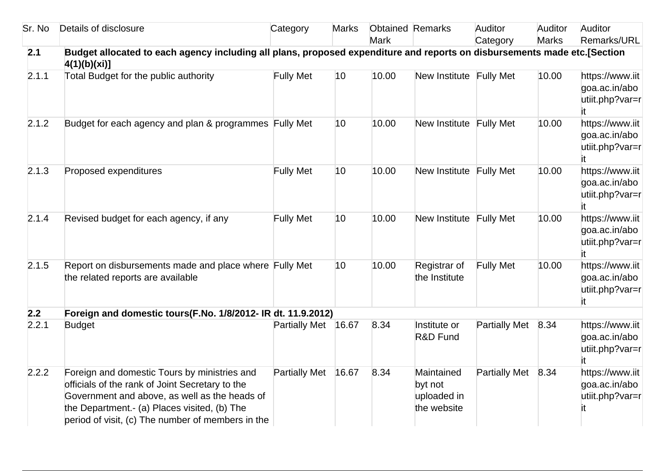| Sr. No | Details of disclosure                                                                                                                                                                                                                                 | Category             | <b>Marks</b> | <b>Obtained Remarks</b><br><b>Mark</b> |                                                     | Auditor<br>Category  | Auditor<br><b>Marks</b> | Auditor<br>Remarks/URL                                     |
|--------|-------------------------------------------------------------------------------------------------------------------------------------------------------------------------------------------------------------------------------------------------------|----------------------|--------------|----------------------------------------|-----------------------------------------------------|----------------------|-------------------------|------------------------------------------------------------|
| 2.1    | Budget allocated to each agency including all plans, proposed expenditure and reports on disbursements made etc.[Section<br>4(1)(b)(xi)]                                                                                                              |                      |              |                                        |                                                     |                      |                         |                                                            |
| 2.1.1  | Total Budget for the public authority                                                                                                                                                                                                                 | <b>Fully Met</b>     | 10           | 10.00                                  | New Institute Fully Met                             |                      | 10.00                   | https://www.iit<br>goa.ac.in/abo<br>utiit.php?var=r        |
| 2.1.2  | Budget for each agency and plan & programmes Fully Met                                                                                                                                                                                                |                      | 10           | 10.00                                  | New Institute Fully Met                             |                      | 10.00                   | https://www.iit<br>goa.ac.in/abo<br>utiit.php?var=r        |
| 2.1.3  | Proposed expenditures                                                                                                                                                                                                                                 | <b>Fully Met</b>     | 10           | 10.00                                  | New Institute Fully Met                             |                      | 10.00                   | https://www.iit<br>goa.ac.in/abo<br>utiit.php?var=r<br>it. |
| 2.1.4  | Revised budget for each agency, if any                                                                                                                                                                                                                | <b>Fully Met</b>     | 10           | 10.00                                  | New Institute Fully Met                             |                      | 10.00                   | https://www.iit<br>goa.ac.in/abo<br>utiit.php?var=r        |
| 2.1.5  | Report on disbursements made and place where Fully Met<br>the related reports are available                                                                                                                                                           |                      | 10           | 10.00                                  | Registrar of<br>the Institute                       | <b>Fully Met</b>     | 10.00                   | https://www.iit<br>goa.ac.in/abo<br>utiit.php?var=r<br>it  |
| 2.2    | Foreign and domestic tours(F.No. 1/8/2012- IR dt. 11.9.2012)                                                                                                                                                                                          |                      |              |                                        |                                                     |                      |                         |                                                            |
| 2.2.1  | <b>Budget</b>                                                                                                                                                                                                                                         | <b>Partially Met</b> | 16.67        | 8.34                                   | Institute or<br>R&D Fund                            | <b>Partially Met</b> | 8.34                    | https://www.iit<br>goa.ac.in/abo<br>utiit.php?var=r        |
| 2.2.2  | Foreign and domestic Tours by ministries and<br>officials of the rank of Joint Secretary to the<br>Government and above, as well as the heads of<br>the Department.- (a) Places visited, (b) The<br>period of visit, (c) The number of members in the | <b>Partially Met</b> | 16.67        | 8.34                                   | Maintained<br>byt not<br>uploaded in<br>the website | <b>Partially Met</b> | 8.34                    | https://www.iit<br>goa.ac.in/abo<br>utiit.php?var=r        |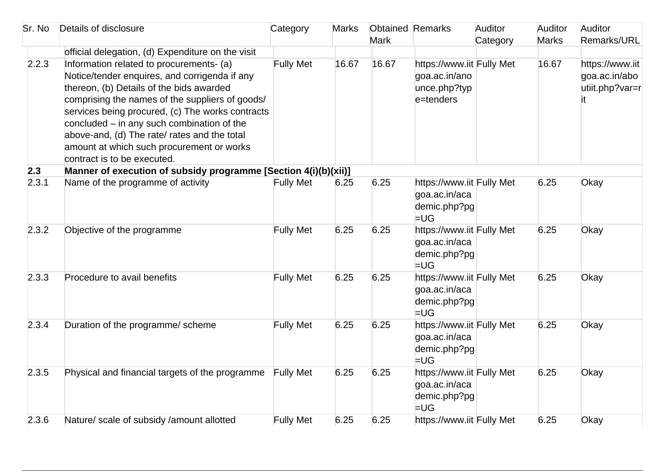| Sr. No | Details of disclosure                                                                                                                                                                                                                                                                                                                                                                                                    | Category         | <b>Marks</b> | <b>Obtained Remarks</b><br><b>Mark</b> |                                                                         | Auditor<br>Category | Auditor<br><b>Marks</b> | Auditor<br>Remarks/URL                              |
|--------|--------------------------------------------------------------------------------------------------------------------------------------------------------------------------------------------------------------------------------------------------------------------------------------------------------------------------------------------------------------------------------------------------------------------------|------------------|--------------|----------------------------------------|-------------------------------------------------------------------------|---------------------|-------------------------|-----------------------------------------------------|
|        | official delegation, (d) Expenditure on the visit                                                                                                                                                                                                                                                                                                                                                                        |                  |              |                                        |                                                                         |                     |                         |                                                     |
| 2.2.3  | Information related to procurements- (a)<br>Notice/tender enquires, and corrigenda if any<br>thereon, (b) Details of the bids awarded<br>comprising the names of the suppliers of goods/<br>services being procured, (c) The works contracts<br>concluded $-$ in any such combination of the<br>above-and, (d) The rate/ rates and the total<br>amount at which such procurement or works<br>contract is to be executed. | <b>Fully Met</b> | 16.67        | 16.67                                  | https://www.iit Fully Met<br>goa.ac.in/ano<br>unce.php?typ<br>e=tenders |                     | 16.67                   | https://www.iit<br>goa.ac.in/abo<br>utiit.php?var=r |
| 2.3    | Manner of execution of subsidy programme [Section 4(i)(b)(xii)]                                                                                                                                                                                                                                                                                                                                                          |                  |              |                                        |                                                                         |                     |                         |                                                     |
| 2.3.1  | Name of the programme of activity                                                                                                                                                                                                                                                                                                                                                                                        | <b>Fully Met</b> | 6.25         | 6.25                                   | https://www.iit Fully Met<br>goa.ac.in/aca<br>demic.php?pg<br>$=$ UG    |                     | 6.25                    | Okay                                                |
| 2.3.2  | Objective of the programme                                                                                                                                                                                                                                                                                                                                                                                               | <b>Fully Met</b> | 6.25         | 6.25                                   | https://www.iit Fully Met<br>goa.ac.in/aca<br>demic.php?pg<br>$=$ UG    |                     | 6.25                    | Okay                                                |
| 2.3.3  | Procedure to avail benefits                                                                                                                                                                                                                                                                                                                                                                                              | <b>Fully Met</b> | 6.25         | 6.25                                   | https://www.iit Fully Met<br>goa.ac.in/aca<br>demic.php?pg<br>$=$ UG    |                     | 6.25                    | Okay                                                |
| 2.3.4  | Duration of the programme/ scheme                                                                                                                                                                                                                                                                                                                                                                                        | <b>Fully Met</b> | 6.25         | 6.25                                   | https://www.iit Fully Met<br>goa.ac.in/aca<br>demic.php?pg<br>$=$ UG    |                     | 6.25                    | Okay                                                |
| 2.3.5  | Physical and financial targets of the programme                                                                                                                                                                                                                                                                                                                                                                          | <b>Fully Met</b> | 6.25         | 6.25                                   | https://www.iit Fully Met<br>goa.ac.in/aca<br>demic.php?pg<br>$=$ UG    |                     | 6.25                    | Okay                                                |
| 2.3.6  | Nature/ scale of subsidy /amount allotted                                                                                                                                                                                                                                                                                                                                                                                | <b>Fully Met</b> | 6.25         | 6.25                                   | https://www.iit Fully Met                                               |                     | 6.25                    | Okay                                                |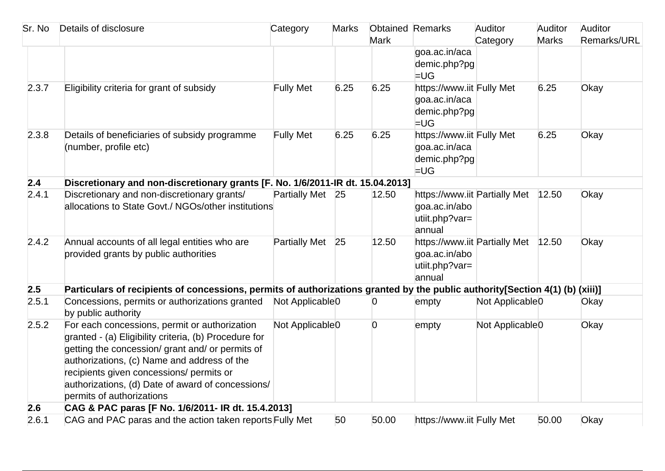| Sr. No | Details of disclosure                                                                                                        | Category                    | <b>Marks</b> | <b>Obtained Remarks</b> |                               | Auditor                     | Auditor      | Auditor     |
|--------|------------------------------------------------------------------------------------------------------------------------------|-----------------------------|--------------|-------------------------|-------------------------------|-----------------------------|--------------|-------------|
|        |                                                                                                                              |                             |              | <b>Mark</b>             |                               | Category                    | <b>Marks</b> | Remarks/URL |
|        |                                                                                                                              |                             |              |                         | goa.ac.in/aca                 |                             |              |             |
|        |                                                                                                                              |                             |              |                         | demic.php?pg<br>$=$ UG        |                             |              |             |
| 2.3.7  | Eligibility criteria for grant of subsidy                                                                                    | <b>Fully Met</b>            | 6.25         | 6.25                    | https://www.iit Fully Met     |                             | 6.25         | Okay        |
|        |                                                                                                                              |                             |              |                         | goa.ac.in/aca                 |                             |              |             |
|        |                                                                                                                              |                             |              |                         | demic.php?pg                  |                             |              |             |
|        |                                                                                                                              |                             |              |                         | $=$ UG                        |                             |              |             |
| 2.3.8  | Details of beneficiaries of subsidy programme                                                                                | <b>Fully Met</b>            | 6.25         | 6.25                    | https://www.iit Fully Met     |                             | 6.25         | Okay        |
|        | (number, profile etc)                                                                                                        |                             |              |                         | goa.ac.in/aca                 |                             |              |             |
|        |                                                                                                                              |                             |              |                         | demic.php?pg                  |                             |              |             |
|        |                                                                                                                              |                             |              |                         | $=$ UG                        |                             |              |             |
| 2.4    | Discretionary and non-discretionary grants [F. No. 1/6/2011-IR dt. 15.04.2013]                                               |                             |              |                         |                               |                             |              |             |
| 2.4.1  | Discretionary and non-discretionary grants/                                                                                  | Partially Met 25            |              | 12.50                   | https://www.iit Partially Met |                             | 12.50        | Okay        |
|        | allocations to State Govt./ NGOs/other institutions                                                                          |                             |              |                         | goa.ac.in/abo                 |                             |              |             |
|        |                                                                                                                              |                             |              |                         | utiit.php?var=<br>annual      |                             |              |             |
| 2.4.2  | Annual accounts of all legal entities who are                                                                                | Partially Met 25            |              | 12.50                   | https://www.iit Partially Met |                             | 12.50        | Okay        |
|        | provided grants by public authorities                                                                                        |                             |              |                         | goa.ac.in/abo                 |                             |              |             |
|        |                                                                                                                              |                             |              |                         | utiit.php?var=                |                             |              |             |
|        |                                                                                                                              |                             |              |                         | annual                        |                             |              |             |
| 2.5    | Particulars of recipients of concessions, permits of authorizations granted by the public authority[Section 4(1) (b) (xiii)] |                             |              |                         |                               |                             |              |             |
| 2.5.1  | Concessions, permits or authorizations granted<br>by public authority                                                        | Not Applicable <sub>0</sub> |              | 0                       | empty                         | Not Applicable <sub>0</sub> |              | Okay        |
| 2.5.2  | For each concessions, permit or authorization                                                                                | Not Applicable <sub>0</sub> |              | $\overline{0}$          | empty                         | Not Applicable <sub>0</sub> |              | Okay        |
|        | granted - (a) Eligibility criteria, (b) Procedure for                                                                        |                             |              |                         |                               |                             |              |             |
|        | getting the concession/ grant and/ or permits of                                                                             |                             |              |                         |                               |                             |              |             |
|        | authorizations, (c) Name and address of the                                                                                  |                             |              |                         |                               |                             |              |             |
|        | recipients given concessions/ permits or                                                                                     |                             |              |                         |                               |                             |              |             |
|        | authorizations, (d) Date of award of concessions/                                                                            |                             |              |                         |                               |                             |              |             |
|        | permits of authorizations                                                                                                    |                             |              |                         |                               |                             |              |             |
| 2.6    | CAG & PAC paras [F No. 1/6/2011- IR dt. 15.4.2013]                                                                           |                             |              |                         |                               |                             |              |             |
| 2.6.1  | CAG and PAC paras and the action taken reports Fully Met                                                                     |                             | 50           | 50.00                   | https://www.iit Fully Met     |                             | 50.00        | Okay        |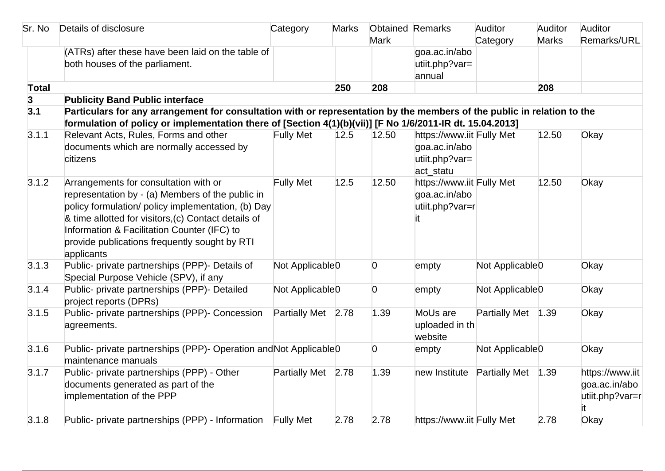| Sr. No       | Details of disclosure                                                                                                                                                                                                                                                                                                 | Category                    | <b>Marks</b> | <b>Obtained Remarks</b><br><b>Mark</b> |                                                                           | Auditor<br>Category         | Auditor<br><b>Marks</b> | Auditor<br>Remarks/URL                                    |
|--------------|-----------------------------------------------------------------------------------------------------------------------------------------------------------------------------------------------------------------------------------------------------------------------------------------------------------------------|-----------------------------|--------------|----------------------------------------|---------------------------------------------------------------------------|-----------------------------|-------------------------|-----------------------------------------------------------|
|              | (ATRs) after these have been laid on the table of<br>both houses of the parliament.                                                                                                                                                                                                                                   |                             |              |                                        | goa.ac.in/abo<br>utiit.php?var=<br>annual                                 |                             |                         |                                                           |
| <b>Total</b> |                                                                                                                                                                                                                                                                                                                       |                             | 250          | 208                                    |                                                                           |                             | 208                     |                                                           |
| 3            | <b>Publicity Band Public interface</b>                                                                                                                                                                                                                                                                                |                             |              |                                        |                                                                           |                             |                         |                                                           |
| 3.1          | Particulars for any arrangement for consultation with or representation by the members of the public in relation to the<br>formulation of policy or implementation there of [Section 4(1)(b)(vii)] [F No 1/6/2011-IR dt. 15.04.2013]                                                                                  |                             |              |                                        |                                                                           |                             |                         |                                                           |
| 3.1.1        | Relevant Acts, Rules, Forms and other<br>documents which are normally accessed by<br>citizens                                                                                                                                                                                                                         | <b>Fully Met</b>            | 12.5         | 12.50                                  | https://www.iit Fully Met<br>goa.ac.in/abo<br>utiit.php?var=<br>act_statu |                             | 12.50                   | Okay                                                      |
| 3.1.2        | Arrangements for consultation with or<br>representation by - (a) Members of the public in<br>policy formulation/ policy implementation, (b) Day<br>& time allotted for visitors, (c) Contact details of<br>Information & Facilitation Counter (IFC) to<br>provide publications frequently sought by RTI<br>applicants | <b>Fully Met</b>            | 12.5         | 12.50                                  | https://www.iit Fully Met<br>goa.ac.in/abo<br>utiit.php?var=r             |                             | 12.50                   | Okay                                                      |
| 3.1.3        | Public- private partnerships (PPP)- Details of<br>Special Purpose Vehicle (SPV), if any                                                                                                                                                                                                                               | Not Applicable <sub>0</sub> |              | $\overline{0}$                         | empty                                                                     | Not Applicable <sub>0</sub> |                         | Okay                                                      |
| 3.1.4        | Public- private partnerships (PPP)- Detailed<br>project reports (DPRs)                                                                                                                                                                                                                                                | Not Applicable <sub>0</sub> |              | $\overline{0}$                         | empty                                                                     | Not Applicable <sub>0</sub> |                         | Okay                                                      |
| 3.1.5        | Public- private partnerships (PPP)- Concession<br>agreements.                                                                                                                                                                                                                                                         | Partially Met 2.78          |              | 1.39                                   | MoUs are<br>uploaded in th<br>website                                     | <b>Partially Met</b>        | 1.39                    | Okay                                                      |
| 3.1.6        | Public- private partnerships (PPP)- Operation and Not Applicable 0<br>maintenance manuals                                                                                                                                                                                                                             |                             |              | $\overline{0}$                         | empty                                                                     | Not Applicable <sub>0</sub> |                         | Okay                                                      |
| 3.1.7        | Public- private partnerships (PPP) - Other<br>documents generated as part of the<br>implementation of the PPP                                                                                                                                                                                                         | Partially Met 2.78          |              | 1.39                                   | new Institute                                                             | <b>Partially Met</b>        | 1.39                    | https://www.iit<br>goa.ac.in/abo<br>utiit.php?var=r<br>it |
| 3.1.8        | Public- private partnerships (PPP) - Information Fully Met                                                                                                                                                                                                                                                            |                             | 2.78         | 2.78                                   | https://www.iit Fully Met                                                 |                             | 2.78                    | Okay                                                      |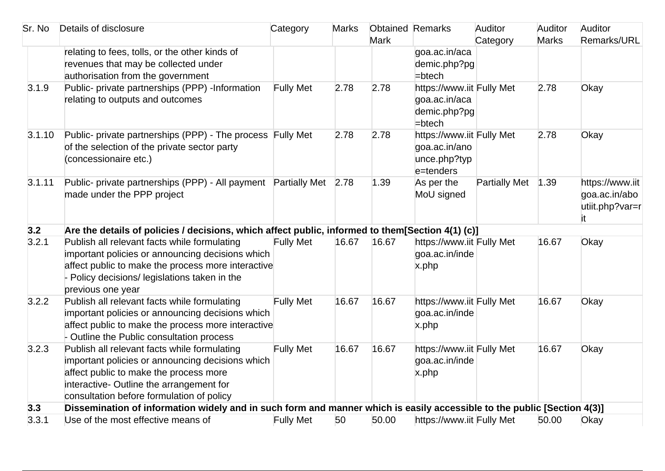| Sr. No | Details of disclosure                                                                                                               | Category         | <b>Marks</b> | <b>Obtained Remarks</b> |                                                                         | Auditor              | Auditor      | Auditor                                                    |
|--------|-------------------------------------------------------------------------------------------------------------------------------------|------------------|--------------|-------------------------|-------------------------------------------------------------------------|----------------------|--------------|------------------------------------------------------------|
|        |                                                                                                                                     |                  |              | <b>Mark</b>             |                                                                         | Category             | <b>Marks</b> | Remarks/URL                                                |
|        | relating to fees, tolls, or the other kinds of                                                                                      |                  |              |                         | goa.ac.in/aca                                                           |                      |              |                                                            |
|        | revenues that may be collected under                                                                                                |                  |              |                         | demic.php?pg                                                            |                      |              |                                                            |
|        | authorisation from the government                                                                                                   |                  |              |                         | $=$ btech                                                               |                      |              |                                                            |
| 3.1.9  | Public- private partnerships (PPP) -Information<br>relating to outputs and outcomes                                                 | <b>Fully Met</b> | 2.78         | 2.78                    | https://www.iit Fully Met<br>goa.ac.in/aca<br>demic.php?pg<br>$=$ btech |                      | 2.78         | Okay                                                       |
| 3.1.10 | Public- private partnerships (PPP) - The process Fully Met<br>of the selection of the private sector party<br>(concessionaire etc.) |                  | 2.78         | 2.78                    | https://www.iit Fully Met<br>goa.ac.in/ano<br>unce.php?typ<br>e=tenders |                      | 2.78         | Okay                                                       |
| 3.1.11 | Public- private partnerships (PPP) - All payment Partially Met 2.78<br>made under the PPP project                                   |                  |              | 1.39                    | As per the<br>MoU signed                                                | <b>Partially Met</b> | 1.39         | https://www.iit<br>goa.ac.in/abo<br>utiit.php?var=r<br>it. |
| 3.2    | Are the details of policies / decisions, which affect public, informed to them[Section 4(1) (c)]                                    |                  |              |                         |                                                                         |                      |              |                                                            |
| 3.2.1  | Publish all relevant facts while formulating                                                                                        | <b>Fully Met</b> | 16.67        | 16.67                   | https://www.iit Fully Met                                               |                      | 16.67        | Okay                                                       |
|        | important policies or announcing decisions which                                                                                    |                  |              |                         | goa.ac.in/inde                                                          |                      |              |                                                            |
|        | affect public to make the process more interactive                                                                                  |                  |              |                         | x.php                                                                   |                      |              |                                                            |
|        | Policy decisions/ legislations taken in the                                                                                         |                  |              |                         |                                                                         |                      |              |                                                            |
| 3.2.2  | previous one year<br>Publish all relevant facts while formulating                                                                   | <b>Fully Met</b> | 16.67        | 16.67                   | https://www.iit Fully Met                                               |                      | 16.67        | Okay                                                       |
|        | important policies or announcing decisions which                                                                                    |                  |              |                         | goa.ac.in/inde                                                          |                      |              |                                                            |
|        | affect public to make the process more interactive                                                                                  |                  |              |                         | x.php                                                                   |                      |              |                                                            |
|        | - Outline the Public consultation process                                                                                           |                  |              |                         |                                                                         |                      |              |                                                            |
| 3.2.3  | Publish all relevant facts while formulating                                                                                        | <b>Fully Met</b> | 16.67        | 16.67                   | https://www.iit Fully Met                                               |                      | 16.67        | Okay                                                       |
|        | important policies or announcing decisions which                                                                                    |                  |              |                         | goa.ac.in/inde                                                          |                      |              |                                                            |
|        | affect public to make the process more                                                                                              |                  |              |                         | x.php                                                                   |                      |              |                                                            |
|        | interactive- Outline the arrangement for                                                                                            |                  |              |                         |                                                                         |                      |              |                                                            |
|        | consultation before formulation of policy                                                                                           |                  |              |                         |                                                                         |                      |              |                                                            |
| 3.3    | Dissemination of information widely and in such form and manner which is easily accessible to the public [Section 4(3)]             |                  |              |                         |                                                                         |                      |              |                                                            |
| 3.3.1  | Use of the most effective means of                                                                                                  | <b>Fully Met</b> | 50           | 50.00                   | https://www.iit Fully Met                                               |                      | 50.00        | Okay                                                       |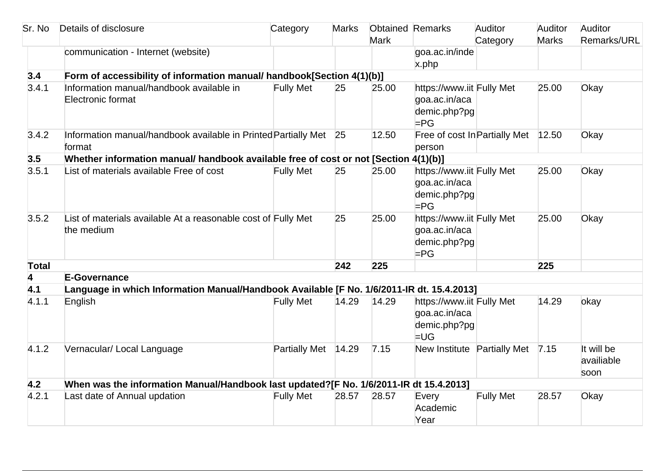| Sr. No | Details of disclosure                                                                     | Category             | <b>Marks</b> | <b>Obtained Remarks</b><br><b>Mark</b> |                                                                      | Auditor<br>Category | Auditor<br><b>Marks</b> | Auditor<br>Remarks/URL           |
|--------|-------------------------------------------------------------------------------------------|----------------------|--------------|----------------------------------------|----------------------------------------------------------------------|---------------------|-------------------------|----------------------------------|
|        | communication - Internet (website)                                                        |                      |              |                                        | goa.ac.in/inde<br>x.php                                              |                     |                         |                                  |
| 3.4    | Form of accessibility of information manual/ handbook[Section 4(1)(b)]                    |                      |              |                                        |                                                                      |                     |                         |                                  |
| 3.4.1  | Information manual/handbook available in<br>Electronic format                             | <b>Fully Met</b>     | 25           | 25.00                                  | https://www.iit Fully Met<br>goa.ac.in/aca<br>demic.php?pg<br>$=$ PG |                     | 25.00                   | Okay                             |
| 3.4.2  | Information manual/handbook available in Printed Partially Met 25<br>format               |                      |              | 12.50                                  | Free of cost In Partially Met<br>person                              |                     | 12.50                   | Okay                             |
| 3.5    | Whether information manual/ handbook available free of cost or not [Section 4(1)(b)]      |                      |              |                                        |                                                                      |                     |                         |                                  |
| 3.5.1  | List of materials available Free of cost                                                  | <b>Fully Met</b>     | 25           | 25.00                                  | https://www.iit Fully Met<br>goa.ac.in/aca<br>demic.php?pg<br>$=$ PG |                     | 25.00                   | Okay                             |
| 3.5.2  | List of materials available At a reasonable cost of Fully Met<br>the medium               |                      | 25           | 25.00                                  | https://www.iit Fully Met<br>goa.ac.in/aca<br>demic.php?pg<br>$=$ PG |                     | 25.00                   | Okay                             |
| Total  |                                                                                           |                      | 242          | 225                                    |                                                                      |                     | 225                     |                                  |
| 4      | <b>E-Governance</b>                                                                       |                      |              |                                        |                                                                      |                     |                         |                                  |
| 4.1    | Language in which Information Manual/Handbook Available [F No. 1/6/2011-IR dt. 15.4.2013] |                      |              |                                        |                                                                      |                     |                         |                                  |
| 4.1.1  | English                                                                                   | <b>Fully Met</b>     | 14.29        | 14.29                                  | https://www.iit Fully Met<br>goa.ac.in/aca<br>demic.php?pg<br>$=$ UG |                     | 14.29                   | okay                             |
| 4.1.2  | Vernacular/ Local Language                                                                | <b>Partially Met</b> | 14.29        | 7.15                                   | New Institute Partially Met                                          |                     | 7.15                    | It will be<br>availiable<br>soon |
| 4.2    | When was the information Manual/Handbook last updated?[F No. 1/6/2011-IR dt 15.4.2013]    |                      |              |                                        |                                                                      |                     |                         |                                  |
| 4.2.1  | Last date of Annual updation                                                              | <b>Fully Met</b>     | 28.57        | 28.57                                  | Every<br>Academic<br>Year                                            | <b>Fully Met</b>    | 28.57                   | Okay                             |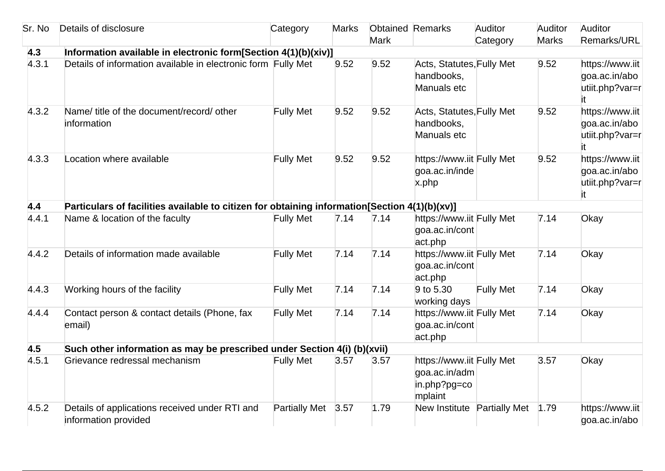| Sr. No | Details of disclosure                                                                         | Category             | <b>Marks</b> | <b>Obtained Remarks</b> |                                                                       | Auditor          | Auditor      | Auditor                                                    |
|--------|-----------------------------------------------------------------------------------------------|----------------------|--------------|-------------------------|-----------------------------------------------------------------------|------------------|--------------|------------------------------------------------------------|
|        |                                                                                               |                      |              | <b>Mark</b>             |                                                                       | Category         | <b>Marks</b> | Remarks/URL                                                |
| 4.3    | Information available in electronic form[Section 4(1)(b)(xiv)]                                |                      |              |                         |                                                                       |                  |              |                                                            |
| 4.3.1  | Details of information available in electronic form Fully Met                                 |                      | 9.52         | 9.52                    | Acts, Statutes, Fully Met<br>handbooks,<br>Manuals etc                |                  | 9.52         | https://www.iit<br>goa.ac.in/abo<br>utiit.php?var=r<br>it. |
| 4.3.2  | Name/ title of the document/record/ other<br>information                                      | <b>Fully Met</b>     | 9.52         | 9.52                    | Acts, Statutes, Fully Met<br>handbooks,<br>Manuals etc                |                  | 9.52         | https://www.iit<br>goa.ac.in/abo<br>utiit.php?var=r        |
| 4.3.3  | Location where available                                                                      | <b>Fully Met</b>     | 9.52         | 9.52                    | https://www.iit Fully Met<br>goa.ac.in/inde<br>x.php                  |                  | 9.52         | https://www.iit<br>goa.ac.in/abo<br>utiit.php?var=r<br>it  |
| 4.4    | Particulars of facilities available to citizen for obtaining information[Section 4(1)(b)(xv)] |                      |              |                         |                                                                       |                  |              |                                                            |
| 4.4.1  | Name & location of the faculty                                                                | <b>Fully Met</b>     | 7.14         | 7.14                    | https://www.iit Fully Met<br>goa.ac.in/cont<br>act.php                |                  | 7.14         | Okay                                                       |
| 4.4.2  | Details of information made available                                                         | <b>Fully Met</b>     | 7.14         | 7.14                    | https://www.iit Fully Met<br>goa.ac.in/cont<br>act.php                |                  | 7.14         | Okay                                                       |
| 4.4.3  | Working hours of the facility                                                                 | <b>Fully Met</b>     | 7.14         | 7.14                    | 9 to 5.30<br>working days                                             | <b>Fully Met</b> | 7.14         | Okay                                                       |
| 4.4.4  | Contact person & contact details (Phone, fax<br>email)                                        | <b>Fully Met</b>     | 7.14         | 7.14                    | https://www.iit Fully Met<br>goa.ac.in/cont<br>act.php                |                  | 7.14         | Okay                                                       |
| 4.5    | Such other information as may be prescribed under Section 4(i) (b)(xvii)                      |                      |              |                         |                                                                       |                  |              |                                                            |
| 4.5.1  | Grievance redressal mechanism                                                                 | <b>Fully Met</b>     | 3.57         | 3.57                    | https://www.iit Fully Met<br>goa.ac.in/adm<br>in.php?pg=co<br>mplaint |                  | 3.57         | Okay                                                       |
| 4.5.2  | Details of applications received under RTI and<br>information provided                        | <b>Partially Met</b> | 3.57         | 1.79                    | New Institute Partially Met                                           |                  | 1.79         | https://www.iit<br>goa.ac.in/abo                           |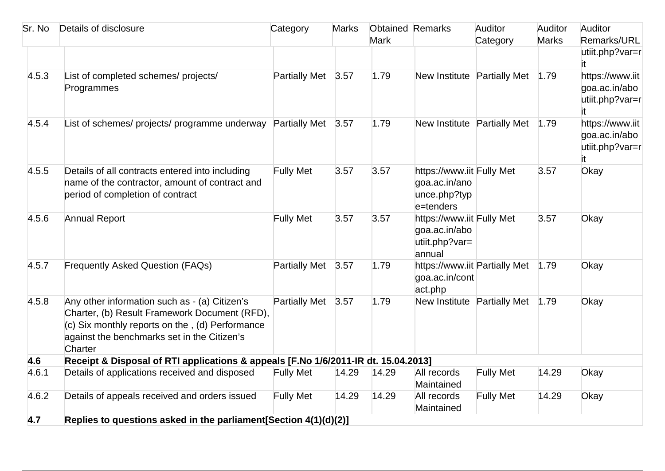| Sr. No | Details of disclosure                                                                                                                                                                                       | Category             | <b>Marks</b> | <b>Obtained Remarks</b> |                                                                         | Auditor          | Auditor      | Auditor                                                    |
|--------|-------------------------------------------------------------------------------------------------------------------------------------------------------------------------------------------------------------|----------------------|--------------|-------------------------|-------------------------------------------------------------------------|------------------|--------------|------------------------------------------------------------|
|        |                                                                                                                                                                                                             |                      |              | <b>Mark</b>             |                                                                         | Category         | <b>Marks</b> | Remarks/URL                                                |
|        |                                                                                                                                                                                                             |                      |              |                         |                                                                         |                  |              | utiit.php?var=r<br>it.                                     |
| 4.5.3  | List of completed schemes/ projects/<br>Programmes                                                                                                                                                          | <b>Partially Met</b> | 3.57         | 1.79                    | New Institute Partially Met                                             |                  | 1.79         | https://www.iit<br>goa.ac.in/abo<br>utiit.php?var=r<br>it. |
| 4.5.4  | List of schemes/ projects/ programme underway Partially Met 3.57                                                                                                                                            |                      |              | 1.79                    | New Institute Partially Met                                             |                  | 1.79         | https://www.iit<br>goa.ac.in/abo<br>utiit.php?var=r        |
| 4.5.5  | Details of all contracts entered into including<br>hame of the contractor, amount of contract and<br>period of completion of contract                                                                       | <b>Fully Met</b>     | 3.57         | 3.57                    | https://www.iit Fully Met<br>goa.ac.in/ano<br>unce.php?typ<br>e=tenders |                  | 3.57         | Okay                                                       |
| 4.5.6  | <b>Annual Report</b>                                                                                                                                                                                        | <b>Fully Met</b>     | 3.57         | 3.57                    | https://www.iit Fully Met<br>goa.ac.in/abo<br>utiit.php?var=<br>annual  |                  | 3.57         | Okay                                                       |
| 4.5.7  | <b>Frequently Asked Question (FAQs)</b>                                                                                                                                                                     | <b>Partially Met</b> | 3.57         | 1.79                    | https://www.iit Partially Met<br>goa.ac.in/cont<br>act.php              |                  | 1.79         | Okay                                                       |
| 4.5.8  | Any other information such as - (a) Citizen's<br>Charter, (b) Result Framework Document (RFD),<br>(c) Six monthly reports on the, (d) Performance<br>against the benchmarks set in the Citizen's<br>Charter | Partially Met 3.57   |              | 1.79                    | New Institute Partially Met                                             |                  | 1.79         | Okay                                                       |
| 4.6    | Receipt & Disposal of RTI applications & appeals [F.No 1/6/2011-IR dt. 15.04.2013]                                                                                                                          |                      |              |                         |                                                                         |                  |              |                                                            |
| 4.6.1  | Details of applications received and disposed                                                                                                                                                               | <b>Fully Met</b>     | 14.29        | 14.29                   | All records<br>Maintained                                               | <b>Fully Met</b> | 14.29        | Okay                                                       |
| 4.6.2  | Details of appeals received and orders issued                                                                                                                                                               | <b>Fully Met</b>     | 14.29        | 14.29                   | All records<br>Maintained                                               | <b>Fully Met</b> | 14.29        | Okay                                                       |
| 4.7    | Replies to questions asked in the parliament[Section 4(1)(d)(2)]                                                                                                                                            |                      |              |                         |                                                                         |                  |              |                                                            |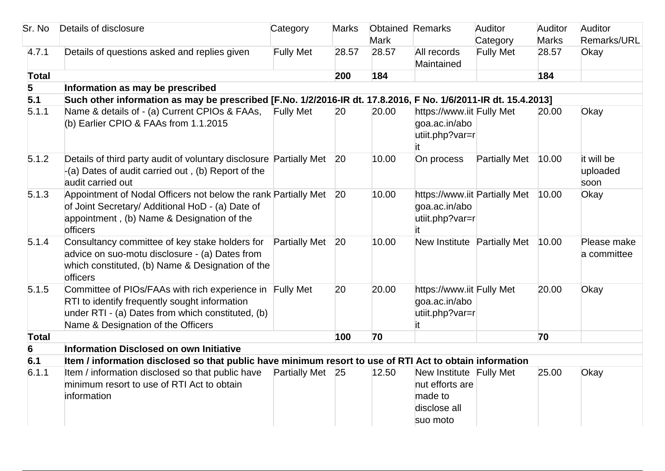| Sr. No       | Details of disclosure                                                                                                                                                                                | Category             | <b>Marks</b> | <b>Obtained Remarks</b> |                                                                                   | Auditor              | Auditor      | Auditor                        |
|--------------|------------------------------------------------------------------------------------------------------------------------------------------------------------------------------------------------------|----------------------|--------------|-------------------------|-----------------------------------------------------------------------------------|----------------------|--------------|--------------------------------|
|              |                                                                                                                                                                                                      |                      |              | <b>Mark</b>             |                                                                                   | Category             | <b>Marks</b> | Remarks/URL                    |
| 4.7.1        | Details of questions asked and replies given                                                                                                                                                         | <b>Fully Met</b>     | 28.57        | 28.57                   | All records<br>Maintained                                                         | <b>Fully Met</b>     | 28.57        | Okay                           |
| <b>Total</b> |                                                                                                                                                                                                      |                      | 200          | 184                     |                                                                                   |                      | 184          |                                |
| 5            | Information as may be prescribed                                                                                                                                                                     |                      |              |                         |                                                                                   |                      |              |                                |
| 5.1          | Such other information as may be prescribed [F.No. 1/2/2016-IR dt. 17.8.2016, F No. 1/6/2011-IR dt. 15.4.2013]                                                                                       |                      |              |                         |                                                                                   |                      |              |                                |
| 5.1.1        | Name & details of - (a) Current CPIOs & FAAs,<br>(b) Earlier CPIO & FAAs from 1.1.2015                                                                                                               | <b>Fully Met</b>     | 20           | 20.00                   | https://www.iit Fully Met<br>goa.ac.in/abo<br>utiit.php?var=r                     |                      | 20.00        | Okay                           |
| 5.1.2        | Details of third party audit of voluntary disclosure Partially Met 20<br>$-(a)$ Dates of audit carried out, (b) Report of the<br>audit carried out                                                   |                      |              | 10.00                   | On process                                                                        | <b>Partially Met</b> | 10.00        | it will be<br>uploaded<br>soon |
| 5.1.3        | Appointment of Nodal Officers not below the rank Partially Met 20<br>of Joint Secretary/ Additional HoD - (a) Date of<br>appointment, (b) Name & Designation of the<br>officers                      |                      |              | 10.00                   | https://www.iit Partially Met<br>goa.ac.in/abo<br>utiit.php?var=r<br>it           |                      | 10.00        | Okay                           |
| 5.1.4        | Consultancy committee of key stake holders for<br>advice on suo-motu disclosure - (a) Dates from<br>which constituted, (b) Name & Designation of the<br>officers                                     | <b>Partially Met</b> | 20           | 10.00                   | New Institute Partially Met                                                       |                      | 10.00        | Please make<br>a committee     |
| 5.1.5        | Committee of PIOs/FAAs with rich experience in Fully Met<br>RTI to identify frequently sought information<br>under RTI - (a) Dates from which constituted, (b)<br>Name & Designation of the Officers |                      | 20           | 20.00                   | https://www.iit Fully Met<br>goa.ac.in/abo<br>utiit.php?var=r<br>ıt.              |                      | 20.00        | Okay                           |
| <b>Total</b> |                                                                                                                                                                                                      |                      | 100          | 70                      |                                                                                   |                      | 70           |                                |
| 6            | Information Disclosed on own Initiative                                                                                                                                                              |                      |              |                         |                                                                                   |                      |              |                                |
| 6.1          | Item / information disclosed so that public have minimum resort to use of RTI Act to obtain information                                                                                              |                      |              |                         |                                                                                   |                      |              |                                |
| 6.1.1        | Item / information disclosed so that public have<br>minimum resort to use of RTI Act to obtain<br>information                                                                                        | Partially Met 25     |              | 12.50                   | New Institute Fully Met<br>nut efforts are<br>made to<br>disclose all<br>suo moto |                      | 25.00        | Okay                           |